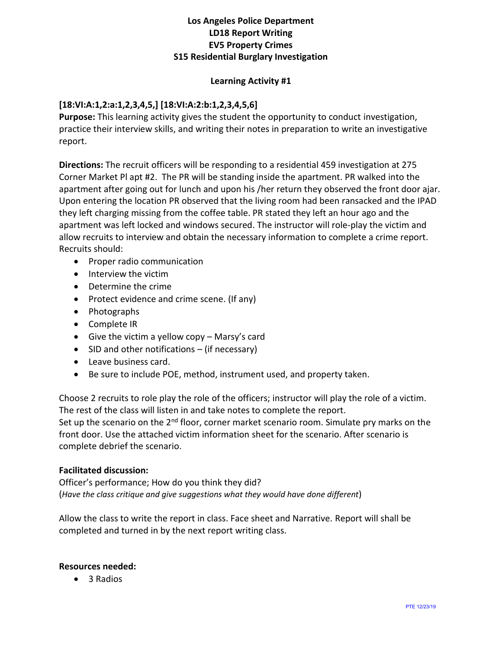# **Los Angeles Police Department LD18 Report Writing EV5 Property Crimes S15 Residential Burglary Investigation**

### **Learning Activity #1**

## **[18:VI:A:1,2:a:1,2,3,4,5,] [18:VI:A:2:b:1,2,3,4,5,6]**

**Purpose:** This learning activity gives the student the opportunity to conduct investigation, practice their interview skills, and writing their notes in preparation to write an investigative report.

**Directions:** The recruit officers will be responding to a residential 459 investigation at 275 Corner Market Pl apt #2. The PR will be standing inside the apartment. PR walked into the apartment after going out for lunch and upon his /her return they observed the front door ajar. Upon entering the location PR observed that the living room had been ransacked and the IPAD they left charging missing from the coffee table. PR stated they left an hour ago and the apartment was left locked and windows secured. The instructor will role-play the victim and allow recruits to interview and obtain the necessary information to complete a crime report. Recruits should:

- Proper radio communication
- Interview the victim
- Determine the crime
- Protect evidence and crime scene. (If any)
- Photographs
- Complete IR
- Give the victim a yellow copy Marsy's card
- SID and other notifications (if necessary)
- Leave business card.
- Be sure to include POE, method, instrument used, and property taken.

Choose 2 recruits to role play the role of the officers; instructor will play the role of a victim. The rest of the class will listen in and take notes to complete the report. Set up the scenario on the  $2^{nd}$  floor, corner market scenario room. Simulate pry marks on the front door. Use the attached victim information sheet for the scenario. After scenario is complete debrief the scenario.

#### **Facilitated discussion:**

Officer's performance; How do you think they did? (*Have the class critique and give suggestions what they would have done different*)

Allow the class to write the report in class. Face sheet and Narrative. Report will shall be completed and turned in by the next report writing class.

#### **Resources needed:**

• 3 Radios